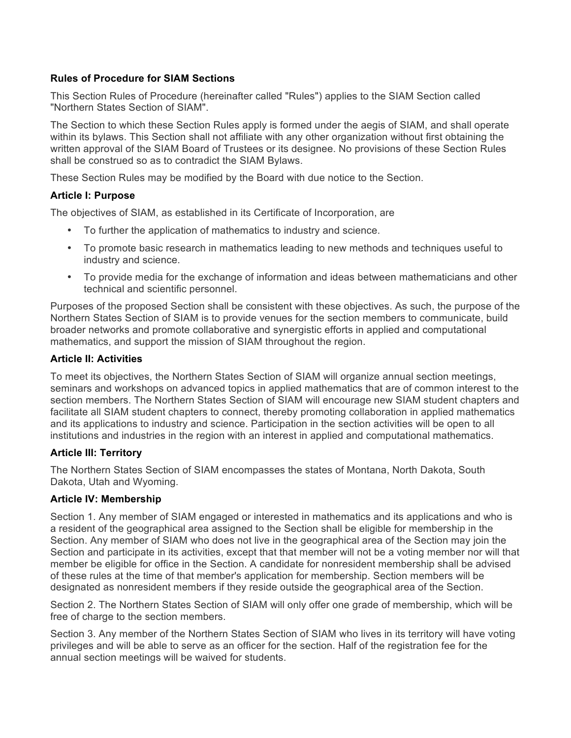#### **Rules of Procedure for SIAM Sections**

This Section Rules of Procedure (hereinafter called "Rules") applies to the SIAM Section called "Northern States Section of SIAM".

The Section to which these Section Rules apply is formed under the aegis of SIAM, and shall operate within its bylaws. This Section shall not affiliate with any other organization without first obtaining the written approval of the SIAM Board of Trustees or its designee. No provisions of these Section Rules shall be construed so as to contradict the SIAM Bylaws.

These Section Rules may be modified by the Board with due notice to the Section.

## **Article I: Purpose**

The objectives of SIAM, as established in its Certificate of Incorporation, are

- To further the application of mathematics to industry and science.
- To promote basic research in mathematics leading to new methods and techniques useful to industry and science.
- To provide media for the exchange of information and ideas between mathematicians and other technical and scientific personnel.

Purposes of the proposed Section shall be consistent with these objectives. As such, the purpose of the Northern States Section of SIAM is to provide venues for the section members to communicate, build broader networks and promote collaborative and synergistic efforts in applied and computational mathematics, and support the mission of SIAM throughout the region.

#### **Article II: Activities**

To meet its objectives, the Northern States Section of SIAM will organize annual section meetings, seminars and workshops on advanced topics in applied mathematics that are of common interest to the section members. The Northern States Section of SIAM will encourage new SIAM student chapters and facilitate all SIAM student chapters to connect, thereby promoting collaboration in applied mathematics and its applications to industry and science. Participation in the section activities will be open to all institutions and industries in the region with an interest in applied and computational mathematics.

#### **Article III: Territory**

The Northern States Section of SIAM encompasses the states of Montana, North Dakota, South Dakota, Utah and Wyoming.

## **Article IV: Membership**

Section 1. Any member of SIAM engaged or interested in mathematics and its applications and who is a resident of the geographical area assigned to the Section shall be eligible for membership in the Section. Any member of SIAM who does not live in the geographical area of the Section may join the Section and participate in its activities, except that that member will not be a voting member nor will that member be eligible for office in the Section. A candidate for nonresident membership shall be advised of these rules at the time of that member's application for membership. Section members will be designated as nonresident members if they reside outside the geographical area of the Section.

Section 2. The Northern States Section of SIAM will only offer one grade of membership, which will be free of charge to the section members.

Section 3. Any member of the Northern States Section of SIAM who lives in its territory will have voting privileges and will be able to serve as an officer for the section. Half of the registration fee for the annual section meetings will be waived for students.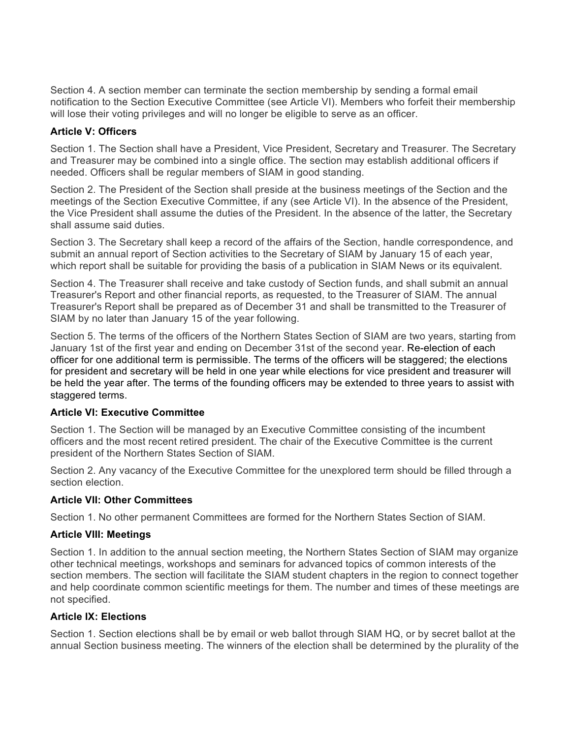Section 4. A section member can terminate the section membership by sending a formal email notification to the Section Executive Committee (see Article VI). Members who forfeit their membership will lose their voting privileges and will no longer be eligible to serve as an officer.

## **Article V: Officers**

Section 1. The Section shall have a President, Vice President, Secretary and Treasurer. The Secretary and Treasurer may be combined into a single office. The section may establish additional officers if needed. Officers shall be regular members of SIAM in good standing.

Section 2. The President of the Section shall preside at the business meetings of the Section and the meetings of the Section Executive Committee, if any (see Article VI). In the absence of the President, the Vice President shall assume the duties of the President. In the absence of the latter, the Secretary shall assume said duties.

Section 3. The Secretary shall keep a record of the affairs of the Section, handle correspondence, and submit an annual report of Section activities to the Secretary of SIAM by January 15 of each year, which report shall be suitable for providing the basis of a publication in SIAM News or its equivalent.

Section 4. The Treasurer shall receive and take custody of Section funds, and shall submit an annual Treasurer's Report and other financial reports, as requested, to the Treasurer of SIAM. The annual Treasurer's Report shall be prepared as of December 31 and shall be transmitted to the Treasurer of SIAM by no later than January 15 of the year following.

Section 5. The terms of the officers of the Northern States Section of SIAM are two years, starting from January 1st of the first year and ending on December 31st of the second year. Re-election of each officer for one additional term is permissible. The terms of the officers will be staggered; the elections for president and secretary will be held in one year while elections for vice president and treasurer will be held the year after. The terms of the founding officers may be extended to three years to assist with staggered terms.

## **Article VI: Executive Committee**

Section 1. The Section will be managed by an Executive Committee consisting of the incumbent officers and the most recent retired president. The chair of the Executive Committee is the current president of the Northern States Section of SIAM.

Section 2. Any vacancy of the Executive Committee for the unexplored term should be filled through a section election.

## **Article VII: Other Committees**

Section 1. No other permanent Committees are formed for the Northern States Section of SIAM.

## **Article VIII: Meetings**

Section 1. In addition to the annual section meeting, the Northern States Section of SIAM may organize other technical meetings, workshops and seminars for advanced topics of common interests of the section members. The section will facilitate the SIAM student chapters in the region to connect together and help coordinate common scientific meetings for them. The number and times of these meetings are not specified.

## **Article IX: Elections**

Section 1. Section elections shall be by email or web ballot through SIAM HQ, or by secret ballot at the annual Section business meeting. The winners of the election shall be determined by the plurality of the